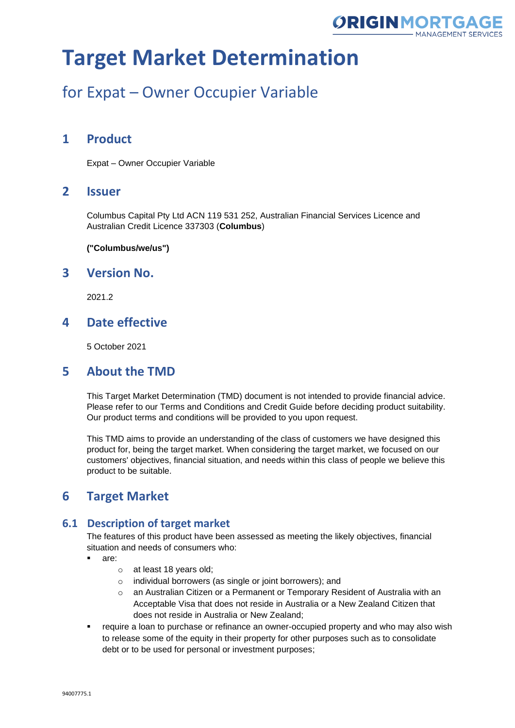

## for Expat – Owner Occupier Variable

### **1 Product**

Expat – Owner Occupier Variable

### **2 Issuer**

Columbus Capital Pty Ltd ACN 119 531 252, Australian Financial Services Licence and Australian Credit Licence 337303 (**Columbus**)

**("Columbus/we/us")**

### **3 Version No.**

2021.2

### **4 Date effective**

5 October 2021

### **5 About the TMD**

This Target Market Determination (TMD) document is not intended to provide financial advice. Please refer to our Terms and Conditions and Credit Guide before deciding product suitability. Our product terms and conditions will be provided to you upon request.

This TMD aims to provide an understanding of the class of customers we have designed this product for, being the target market. When considering the target market, we focused on our customers' objectives, financial situation, and needs within this class of people we believe this product to be suitable.

### **6 Target Market**

#### **6.1 Description of target market**

The features of this product have been assessed as meeting the likely objectives, financial situation and needs of consumers who:

- are:
	- o at least 18 years old;
	- o individual borrowers (as single or joint borrowers); and
	- $\circ$  an Australian Citizen or a Permanent or Temporary Resident of Australia with an Acceptable Visa that does not reside in Australia or a New Zealand Citizen that does not reside in Australia or New Zealand;
- require a loan to purchase or refinance an owner-occupied property and who may also wish to release some of the equity in their property for other purposes such as to consolidate debt or to be used for personal or investment purposes;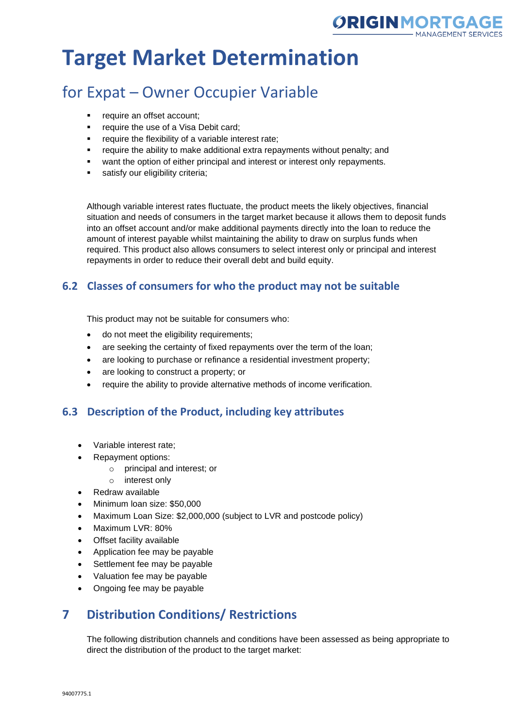

## for Expat – Owner Occupier Variable

- require an offset account;
- require the use of a Visa Debit card;
- require the flexibility of a variable interest rate;
- require the ability to make additional extra repayments without penalty; and
- want the option of either principal and interest or interest only repayments.
- satisfy our eligibility criteria;

Although variable interest rates fluctuate, the product meets the likely objectives, financial situation and needs of consumers in the target market because it allows them to deposit funds into an offset account and/or make additional payments directly into the loan to reduce the amount of interest payable whilst maintaining the ability to draw on surplus funds when required. This product also allows consumers to select interest only or principal and interest repayments in order to reduce their overall debt and build equity.

#### **6.2 Classes of consumers for who the product may not be suitable**

This product may not be suitable for consumers who:

- do not meet the eligibility requirements;
- are seeking the certainty of fixed repayments over the term of the loan;
- are looking to purchase or refinance a residential investment property;
- are looking to construct a property; or
- require the ability to provide alternative methods of income verification.

#### **6.3 Description of the Product, including key attributes**

- Variable interest rate;
- Repayment options:
	- o principal and interest; or
	- o interest only
- Redraw available
- Minimum loan size: \$50,000
- Maximum Loan Size: \$2,000,000 (subject to LVR and postcode policy)
- Maximum LVR: 80%
- Offset facility available
- Application fee may be payable
- Settlement fee may be payable
- Valuation fee may be payable
- Ongoing fee may be payable

### **7 Distribution Conditions/ Restrictions**

The following distribution channels and conditions have been assessed as being appropriate to direct the distribution of the product to the target market: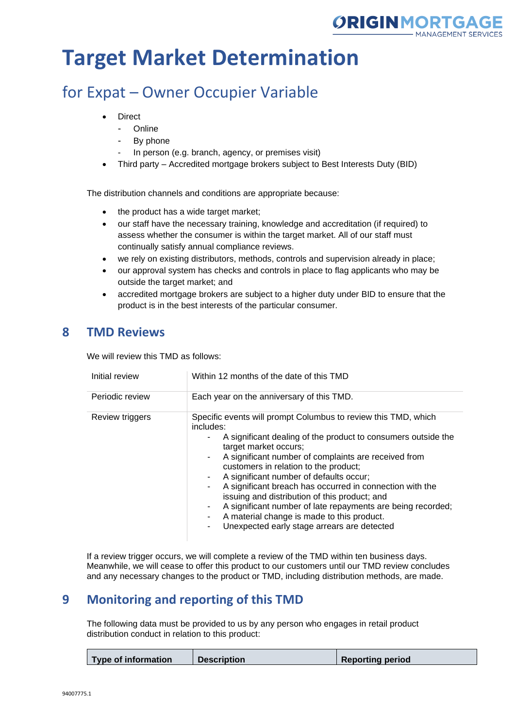

## for Expat – Owner Occupier Variable

- **Direct** 
	- Online
	- By phone
	- In person (e.g. branch, agency, or premises visit)
- Third party Accredited mortgage brokers subject to Best Interests Duty (BID)

The distribution channels and conditions are appropriate because:

- the product has a wide target market;
- our staff have the necessary training, knowledge and accreditation (if required) to assess whether the consumer is within the target market. All of our staff must continually satisfy annual compliance reviews.
- we rely on existing distributors, methods, controls and supervision already in place;
- our approval system has checks and controls in place to flag applicants who may be outside the target market; and
- accredited mortgage brokers are subject to a higher duty under BID to ensure that the product is in the best interests of the particular consumer.

### **8 TMD Reviews**

We will review this TMD as follows:

| Initial review  | Within 12 months of the date of this TMD                                                                                                                                                                                                                                                                                                                                                                                                                                                                                                                                                               |
|-----------------|--------------------------------------------------------------------------------------------------------------------------------------------------------------------------------------------------------------------------------------------------------------------------------------------------------------------------------------------------------------------------------------------------------------------------------------------------------------------------------------------------------------------------------------------------------------------------------------------------------|
| Periodic review | Each year on the anniversary of this TMD.                                                                                                                                                                                                                                                                                                                                                                                                                                                                                                                                                              |
| Review triggers | Specific events will prompt Columbus to review this TMD, which<br>includes:<br>A significant dealing of the product to consumers outside the<br>target market occurs;<br>A significant number of complaints are received from<br>۰.<br>customers in relation to the product;<br>A significant number of defaults occur;<br>A significant breach has occurred in connection with the<br>٠.<br>issuing and distribution of this product; and<br>A significant number of late repayments are being recorded;<br>A material change is made to this product.<br>Unexpected early stage arrears are detected |

If a review trigger occurs, we will complete a review of the TMD within ten business days. Meanwhile, we will cease to offer this product to our customers until our TMD review concludes and any necessary changes to the product or TMD, including distribution methods, are made.

## **9 Monitoring and reporting of this TMD**

The following data must be provided to us by any person who engages in retail product distribution conduct in relation to this product:

|  | Type of information | <b>Description</b> | <b>Reporting period</b> |
|--|---------------------|--------------------|-------------------------|
|--|---------------------|--------------------|-------------------------|